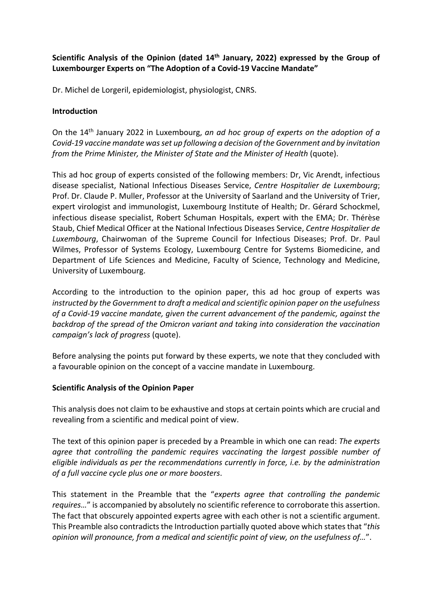# **Scientific Analysis of the Opinion (dated 14th January, 2022) expressed by the Group of Luxembourger Experts on "The Adoption of a Covid-19 Vaccine Mandate"**

Dr. Michel de Lorgeril, epidemiologist, physiologist, CNRS.

### **Introduction**

On the 14th January 2022 in Luxembourg, *an ad hoc group of experts on the adoption of a Covid-19 vaccine mandate was set up following a decision of the Government and by invitation from the Prime Minister, the Minister of State and the Minister of Health* (quote).

This ad hoc group of experts consisted of the following members: Dr, Vic Arendt, infectious disease specialist, National Infectious Diseases Service, *Centre Hospitalier de Luxembourg*; Prof. Dr. Claude P. Muller, Professor at the University of Saarland and the University of Trier, expert virologist and immunologist, Luxembourg Institute of Health; Dr. Gérard Schockmel, infectious disease specialist, Robert Schuman Hospitals, expert with the EMA; Dr. Thérèse Staub, Chief Medical Officer at the National Infectious Diseases Service, *Centre Hospitalier de Luxembourg*, Chairwoman of the Supreme Council for Infectious Diseases; Prof. Dr. Paul Wilmes, Professor of Systems Ecology, Luxembourg Centre for Systems Biomedicine, and Department of Life Sciences and Medicine, Faculty of Science, Technology and Medicine, University of Luxembourg.

According to the introduction to the opinion paper, this ad hoc group of experts was *instructed by the Government to draft a medical and scientific opinion paper on the usefulness of a Covid-19 vaccine mandate, given the current advancement of the pandemic, against the backdrop of the spread of the Omicron variant and taking into consideration the vaccination campaign's lack of progress* (quote).

Before analysing the points put forward by these experts, we note that they concluded with a favourable opinion on the concept of a vaccine mandate in Luxembourg.

#### **Scientific Analysis of the Opinion Paper**

This analysis does not claim to be exhaustive and stops at certain points which are crucial and revealing from a scientific and medical point of view.

The text of this opinion paper is preceded by a Preamble in which one can read: *The experts agree that controlling the pandemic requires vaccinating the largest possible number of eligible individuals as per the recommendations currently in force, i.e. by the administration of a full vaccine cycle plus one or more boosters*.

This statement in the Preamble that the "*experts agree that controlling the pandemic requires…*" is accompanied by absolutely no scientific reference to corroborate this assertion. The fact that obscurely appointed experts agree with each other is not a scientific argument. This Preamble also contradicts the Introduction partially quoted above which states that "*this opinion will pronounce, from a medical and scientific point of view, on the usefulness of…*".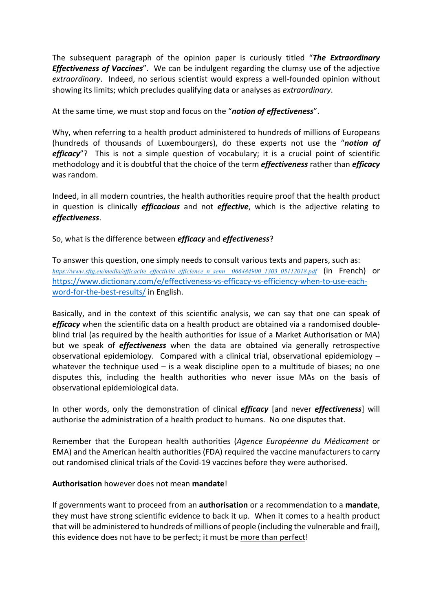The subsequent paragraph of the opinion paper is curiously titled "*The Extraordinary Effectiveness of Vaccines*". We can be indulgent regarding the clumsy use of the adjective *extraordinary*. Indeed, no serious scientist would express a well-founded opinion without showing its limits; which precludes qualifying data or analyses as *extraordinary*.

At the same time, we must stop and focus on the "*notion of effectiveness*".

Why, when referring to a health product administered to hundreds of millions of Europeans (hundreds of thousands of Luxembourgers), do these experts not use the "*notion of efficacy*"? This is not a simple question of vocabulary; it is a crucial point of scientific methodology and it is doubtful that the choice of the term *effectiveness* rather than *efficacy* was random.

Indeed, in all modern countries, the health authorities require proof that the health product in question is clinically *efficacious* and not *effective*, which is the adjective relating to *effectiveness*.

So, what is the difference between *efficacy* and *effectiveness*?

To answer this question, one simply needs to consult various texts and papers, such as: *https://www.sftg.eu/media/efficacite\_effectivite\_efficience\_n\_senn\_\_066484900\_1303\_05112018.pdf* (in French) or https://www.dictionary.com/e/effectiveness-vs-efficacy-vs-efficiency-when-to-use-eachword-for-the-best-results/ in English.

Basically, and in the context of this scientific analysis, we can say that one can speak of *efficacy* when the scientific data on a health product are obtained via a randomised doubleblind trial (as required by the health authorities for issue of a Market Authorisation or MA) but we speak of *effectiveness* when the data are obtained via generally retrospective observational epidemiology. Compared with a clinical trial, observational epidemiology  $$ whatever the technique used  $-$  is a weak discipline open to a multitude of biases; no one disputes this, including the health authorities who never issue MAs on the basis of observational epidemiological data.

In other words, only the demonstration of clinical *efficacy* [and never *effectiveness*] will authorise the administration of a health product to humans. No one disputes that.

Remember that the European health authorities (*Agence Européenne du Médicament* or EMA) and the American health authorities (FDA) required the vaccine manufacturers to carry out randomised clinical trials of the Covid-19 vaccines before they were authorised.

## **Authorisation** however does not mean **mandate**!

If governments want to proceed from an **authorisation** or a recommendation to a **mandate**, they must have strong scientific evidence to back it up. When it comes to a health product that will be administered to hundreds of millions of people (including the vulnerable and frail), this evidence does not have to be perfect; it must be more than perfect!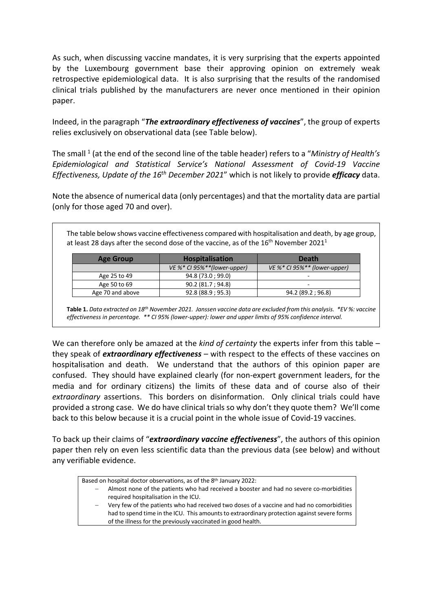As such, when discussing vaccine mandates, it is very surprising that the experts appointed by the Luxembourg government base their approving opinion on extremely weak retrospective epidemiological data. It is also surprising that the results of the randomised clinical trials published by the manufacturers are never once mentioned in their opinion paper.

Indeed, in the paragraph "*The extraordinary effectiveness of vaccines*", the group of experts relies exclusively on observational data (see Table below).

The small 1 (at the end of the second line of the table header) refers to a "*Ministry of Health's Epidemiological and Statistical Service's National Assessment of Covid-19 Vaccine Effectiveness, Update of the 16th December 2021*" which is not likely to provide *efficacy* data.

Note the absence of numerical data (only percentages) and that the mortality data are partial (only for those aged 70 and over).

The table below shows vaccine effectiveness compared with hospitalisation and death, by age group, at least 28 days after the second dose of the vaccine, as of the  $16<sup>th</sup>$  November 2021<sup>1</sup>

| <b>Age Group</b> | <b>Hospitalisation</b>         | <b>Death</b>                     |
|------------------|--------------------------------|----------------------------------|
|                  | VE $%$ * CI 95%**(lower-upper) | VE $\%$ * CI 95%** (lower-upper) |
| Age 25 to 49     | 94.8 (73.0 ; 99.0)             | $\overline{\phantom{0}}$         |
| Age 50 to 69     | 90.2 (81.7 ; 94.8)             | -                                |
| Age 70 and above | 92.8(88.9; 95.3)               | 94.2 (89.2 ; 96.8)               |

**Table 1.** *Data extracted on 18th November 2021. Janssen vaccine data are excluded from this analysis. \*EV %: vaccine effectiveness in percentage. \*\* CI 95% (lower-upper): lower and upper limits of 95% confidence interval.*

We can therefore only be amazed at the *kind of certainty* the experts infer from this table – they speak of *extraordinary effectiveness* – with respect to the effects of these vaccines on hospitalisation and death. We understand that the authors of this opinion paper are confused. They should have explained clearly (for non-expert government leaders, for the media and for ordinary citizens) the limits of these data and of course also of their *extraordinary* assertions. This borders on disinformation. Only clinical trials could have provided a strong case. We do have clinical trials so why don't they quote them? We'll come back to this below because it is a crucial point in the whole issue of Covid-19 vaccines.

To back up their claims of "*extraordinary vaccine effectiveness*", the authors of this opinion paper then rely on even less scientific data than the previous data (see below) and without any verifiable evidence.

Based on hospital doctor observations, as of the 8th January 2022:

- Almost none of the patients who had received a booster and had no severe co-morbidities required hospitalisation in the ICU.
- Very few of the patients who had received two doses of a vaccine and had no comorbidities had to spend time in the ICU. This amounts to extraordinary protection against severe forms of the illness for the previously vaccinated in good health.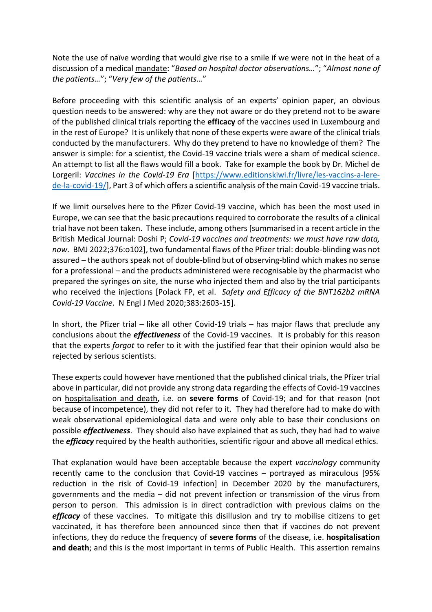Note the use of naïve wording that would give rise to a smile if we were not in the heat of a discussion of a medical mandate: "*Based on hospital doctor observations…*"; "*Almost none of the patients…*"; "*Very few of the patients…*"

Before proceeding with this scientific analysis of an experts' opinion paper, an obvious question needs to be answered: why are they not aware or do they pretend not to be aware of the published clinical trials reporting the **efficacy** of the vaccines used in Luxembourg and in the rest of Europe? It is unlikely that none of these experts were aware of the clinical trials conducted by the manufacturers. Why do they pretend to have no knowledge of them? The answer is simple: for a scientist, the Covid-19 vaccine trials were a sham of medical science. An attempt to list all the flaws would fill a book. Take for example the book by Dr. Michel de Lorgeril: *Vaccines in the Covid-19 Era* [https://www.editionskiwi.fr/livre/les-vaccins-a-lerede-la-covid-19/], Part 3 of which offers a scientific analysis of the main Covid-19 vaccine trials.

If we limit ourselves here to the Pfizer Covid-19 vaccine, which has been the most used in Europe, we can see that the basic precautions required to corroborate the results of a clinical trial have not been taken. These include, among others [summarised in a recent article in the British Medical Journal: Doshi P; *Covid-19 vaccines and treatments: we must have raw data, now.* BMJ 2022;376:o102], two fundamental flaws of the Pfizer trial: double-blinding was not assured – the authors speak not of double-blind but of observing-blind which makes no sense for a professional – and the products administered were recognisable by the pharmacist who prepared the syringes on site, the nurse who injected them and also by the trial participants who received the injections [Polack FP, et al. *Safety and Efficacy of the BNT162b2 mRNA Covid-19 Vaccine*. N Engl J Med 2020;383:2603-15].

In short, the Pfizer trial – like all other Covid-19 trials – has major flaws that preclude any conclusions about the *effectiveness* of the Covid-19 vaccines. It is probably for this reason that the experts *forgot* to refer to it with the justified fear that their opinion would also be rejected by serious scientists.

These experts could however have mentioned that the published clinical trials, the Pfizer trial above in particular, did not provide any strong data regarding the effects of Covid-19 vaccines on hospitalisation and death, i.e. on **severe forms** of Covid-19; and for that reason (not because of incompetence), they did not refer to it. They had therefore had to make do with weak observational epidemiological data and were only able to base their conclusions on possible *effectiveness*. They should also have explained that as such, they had had to waive the *efficacy* required by the health authorities, scientific rigour and above all medical ethics.

That explanation would have been acceptable because the expert *vaccinology* community recently came to the conclusion that Covid-19 vaccines – portrayed as miraculous [95% reduction in the risk of Covid-19 infection] in December 2020 by the manufacturers, governments and the media – did not prevent infection or transmission of the virus from person to person. This admission is in direct contradiction with previous claims on the *efficacy* of these vaccines. To mitigate this disillusion and try to mobilise citizens to get vaccinated, it has therefore been announced since then that if vaccines do not prevent infections, they do reduce the frequency of **severe forms** of the disease, i.e. **hospitalisation and death**; and this is the most important in terms of Public Health. This assertion remains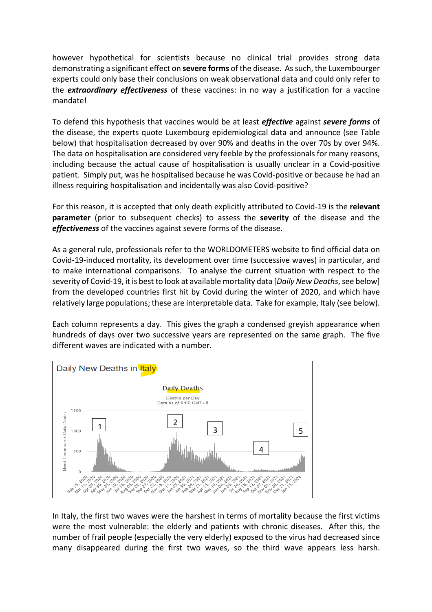however hypothetical for scientists because no clinical trial provides strong data demonstrating a significant effect on **severe forms** of the disease. As such, the Luxembourger experts could only base their conclusions on weak observational data and could only refer to the *extraordinary effectiveness* of these vaccines: in no way a justification for a vaccine mandate!

To defend this hypothesis that vaccines would be at least *effective* against *severe forms* of the disease, the experts quote Luxembourg epidemiological data and announce (see Table below) that hospitalisation decreased by over 90% and deaths in the over 70s by over 94%. The data on hospitalisation are considered very feeble by the professionals for many reasons, including because the actual cause of hospitalisation is usually unclear in a Covid-positive patient. Simply put, was he hospitalised because he was Covid-positive or because he had an illness requiring hospitalisation and incidentally was also Covid-positive?

For this reason, it is accepted that only death explicitly attributed to Covid-19 is the **relevant parameter** (prior to subsequent checks) to assess the **severity** of the disease and the *effectiveness* of the vaccines against severe forms of the disease.

As a general rule, professionals refer to the WORLDOMETERS website to find official data on Covid-19-induced mortality, its development over time (successive waves) in particular, and to make international comparisons. To analyse the current situation with respect to the severity of Covid-19, it is best to look at available mortality data [*Daily New Deaths*, see below] from the developed countries first hit by Covid during the winter of 2020, and which have relatively large populations; these are interpretable data. Take for example, Italy (see below).

Each column represents a day. This gives the graph a condensed greyish appearance when hundreds of days over two successive years are represented on the same graph. The five different waves are indicated with a number.



In Italy, the first two waves were the harshest in terms of mortality because the first victims were the most vulnerable: the elderly and patients with chronic diseases. After this, the number of frail people (especially the very elderly) exposed to the virus had decreased since many disappeared during the first two waves, so the third wave appears less harsh.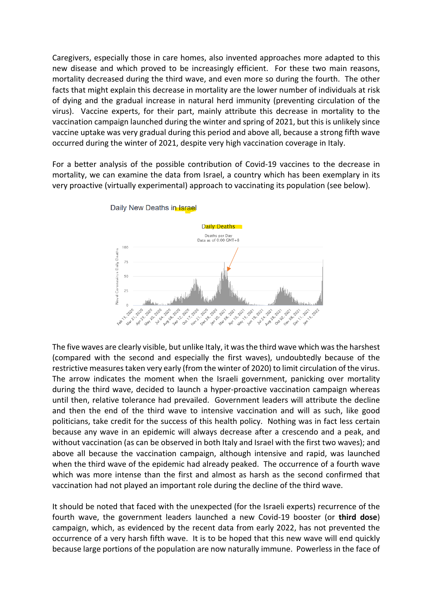Caregivers, especially those in care homes, also invented approaches more adapted to this new disease and which proved to be increasingly efficient. For these two main reasons, mortality decreased during the third wave, and even more so during the fourth. The other facts that might explain this decrease in mortality are the lower number of individuals at risk of dying and the gradual increase in natural herd immunity (preventing circulation of the virus). Vaccine experts, for their part, mainly attribute this decrease in mortality to the vaccination campaign launched during the winter and spring of 2021, but this is unlikely since vaccine uptake was very gradual during this period and above all, because a strong fifth wave occurred during the winter of 2021, despite very high vaccination coverage in Italy.

For a better analysis of the possible contribution of Covid-19 vaccines to the decrease in mortality, we can examine the data from Israel, a country which has been exemplary in its very proactive (virtually experimental) approach to vaccinating its population (see below).



Daily New Deaths in Israel

The five waves are clearly visible, but unlike Italy, it was the third wave which was the harshest (compared with the second and especially the first waves), undoubtedly because of the restrictive measures taken very early (from the winter of 2020) to limit circulation of the virus. The arrow indicates the moment when the Israeli government, panicking over mortality during the third wave, decided to launch a hyper-proactive vaccination campaign whereas until then, relative tolerance had prevailed. Government leaders will attribute the decline and then the end of the third wave to intensive vaccination and will as such, like good politicians, take credit for the success of this health policy. Nothing was in fact less certain because any wave in an epidemic will always decrease after a crescendo and a peak, and without vaccination (as can be observed in both Italy and Israel with the first two waves); and above all because the vaccination campaign, although intensive and rapid, was launched when the third wave of the epidemic had already peaked. The occurrence of a fourth wave which was more intense than the first and almost as harsh as the second confirmed that vaccination had not played an important role during the decline of the third wave.

It should be noted that faced with the unexpected (for the Israeli experts) recurrence of the fourth wave, the government leaders launched a new Covid-19 booster (or **third dose**) campaign, which, as evidenced by the recent data from early 2022, has not prevented the occurrence of a very harsh fifth wave. It is to be hoped that this new wave will end quickly because large portions of the population are now naturally immune. Powerless in the face of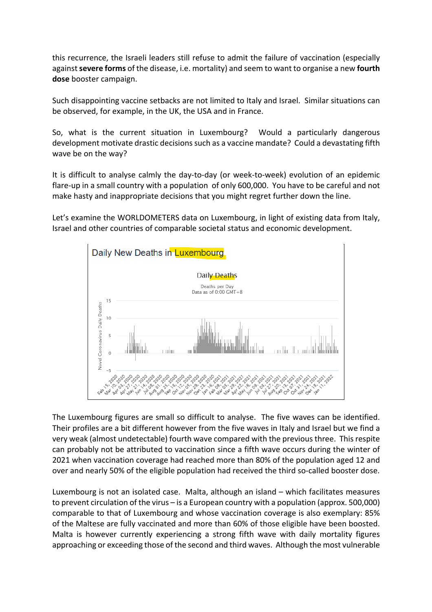this recurrence, the Israeli leaders still refuse to admit the failure of vaccination (especially against **severe forms** of the disease, i.e. mortality) and seem to want to organise a new **fourth dose** booster campaign.

Such disappointing vaccine setbacks are not limited to Italy and Israel. Similar situations can be observed, for example, in the UK, the USA and in France.

So, what is the current situation in Luxembourg? Would a particularly dangerous development motivate drastic decisions such as a vaccine mandate? Could a devastating fifth wave be on the way?

It is difficult to analyse calmly the day-to-day (or week-to-week) evolution of an epidemic flare-up in a small country with a population of only 600,000. You have to be careful and not make hasty and inappropriate decisions that you might regret further down the line.

Let's examine the WORLDOMETERS data on Luxembourg, in light of existing data from Italy, Israel and other countries of comparable societal status and economic development.



The Luxembourg figures are small so difficult to analyse. The five waves can be identified. Their profiles are a bit different however from the five waves in Italy and Israel but we find a very weak (almost undetectable) fourth wave compared with the previous three. This respite can probably not be attributed to vaccination since a fifth wave occurs during the winter of 2021 when vaccination coverage had reached more than 80% of the population aged 12 and over and nearly 50% of the eligible population had received the third so-called booster dose.

Luxembourg is not an isolated case. Malta, although an island – which facilitates measures to prevent circulation of the virus – is a European country with a population (approx. 500,000) comparable to that of Luxembourg and whose vaccination coverage is also exemplary: 85% of the Maltese are fully vaccinated and more than 60% of those eligible have been boosted. Malta is however currently experiencing a strong fifth wave with daily mortality figures approaching or exceeding those of the second and third waves. Although the most vulnerable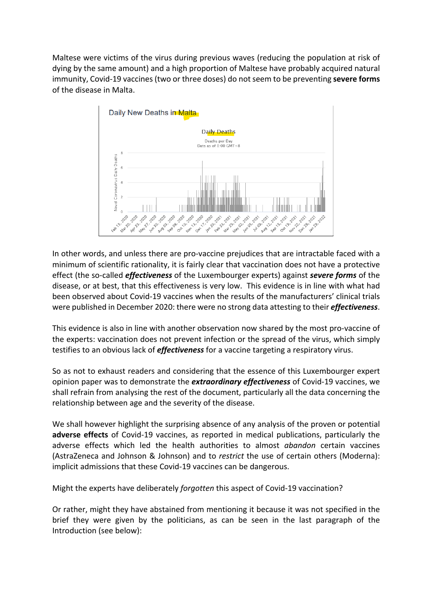Maltese were victims of the virus during previous waves (reducing the population at risk of dying by the same amount) and a high proportion of Maltese have probably acquired natural immunity, Covid-19 vaccines (two or three doses) do not seem to be preventing **severe forms** of the disease in Malta.



In other words, and unless there are pro-vaccine prejudices that are intractable faced with a minimum of scientific rationality, it is fairly clear that vaccination does not have a protective effect (the so-called *effectiveness* of the Luxembourger experts) against *severe forms* of the disease, or at best, that this effectiveness is very low. This evidence is in line with what had been observed about Covid-19 vaccines when the results of the manufacturers' clinical trials were published in December 2020: there were no strong data attesting to their *effectiveness*.

This evidence is also in line with another observation now shared by the most pro-vaccine of the experts: vaccination does not prevent infection or the spread of the virus, which simply testifies to an obvious lack of *effectiveness* for a vaccine targeting a respiratory virus.

So as not to exhaust readers and considering that the essence of this Luxembourger expert opinion paper was to demonstrate the *extraordinary effectiveness* of Covid-19 vaccines, we shall refrain from analysing the rest of the document, particularly all the data concerning the relationship between age and the severity of the disease.

We shall however highlight the surprising absence of any analysis of the proven or potential **adverse effects** of Covid-19 vaccines, as reported in medical publications, particularly the adverse effects which led the health authorities to almost *abandon* certain vaccines (AstraZeneca and Johnson & Johnson) and to *restrict* the use of certain others (Moderna): implicit admissions that these Covid-19 vaccines can be dangerous.

Might the experts have deliberately *forgotten* this aspect of Covid-19 vaccination?

Or rather, might they have abstained from mentioning it because it was not specified in the brief they were given by the politicians, as can be seen in the last paragraph of the Introduction (see below):